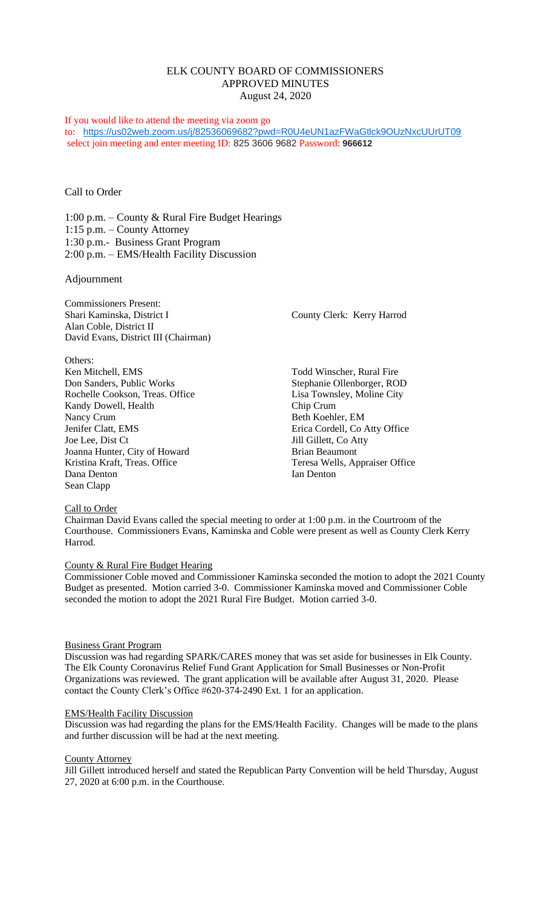# ELK COUNTY BOARD OF COMMISSIONERS APPROVED MINUTES August 24, 2020

If you would like to attend the meeting via zoom go to: <https://us02web.zoom.us/j/82536069682?pwd=R0U4eUN1azFWaGtlck9OUzNxcUUrUT09> select join meeting and enter meeting ID: 825 3606 9682 Password: **966612**

# Call to Order

1:00 p.m. – County & Rural Fire Budget Hearings 1:15 p.m. – County Attorney 1:30 p.m.- Business Grant Program 2:00 p.m. – EMS/Health Facility Discussion

## Adjournment

Commissioners Present: Shari Kaminska, District I County Clerk: Kerry Harrod Alan Coble, District II David Evans, District III (Chairman)

Others: Ken Mitchell, EMS Todd Winscher, Rural Fire Don Sanders, Public Works Stephanie Ollenborger, ROD Rochelle Cookson, Treas. Office Lisa Townsley, Moline City Kandy Dowell, Health Chip Crum Nancy Crum Beth Koehler, EM Jenifer Clatt, EMS Erica Cordell, Co Atty Office Joe Lee, Dist Ct Jill Gillett, Co Atty Joanna Hunter, City of Howard Brian Beaumont Kristina Kraft, Treas. Office Teresa Wells, Appraiser Office Dana Denton Ian Denton Ian Denton Sean Clapp

## Call to Order

Chairman David Evans called the special meeting to order at 1:00 p.m. in the Courtroom of the Courthouse. Commissioners Evans, Kaminska and Coble were present as well as County Clerk Kerry Harrod.

## County & Rural Fire Budget Hearing

Commissioner Coble moved and Commissioner Kaminska seconded the motion to adopt the 2021 County Budget as presented. Motion carried 3-0. Commissioner Kaminska moved and Commissioner Coble seconded the motion to adopt the 2021 Rural Fire Budget. Motion carried 3-0.

### Business Grant Program

Discussion was had regarding SPARK/CARES money that was set aside for businesses in Elk County. The Elk County Coronavirus Relief Fund Grant Application for Small Businesses or Non-Profit Organizations was reviewed. The grant application will be available after August 31, 2020. Please contact the County Clerk's Office #620-374-2490 Ext. 1 for an application.

### EMS/Health Facility Discussion

Discussion was had regarding the plans for the EMS/Health Facility. Changes will be made to the plans and further discussion will be had at the next meeting.

#### County Attorney

Jill Gillett introduced herself and stated the Republican Party Convention will be held Thursday, August 27, 2020 at 6:00 p.m. in the Courthouse.